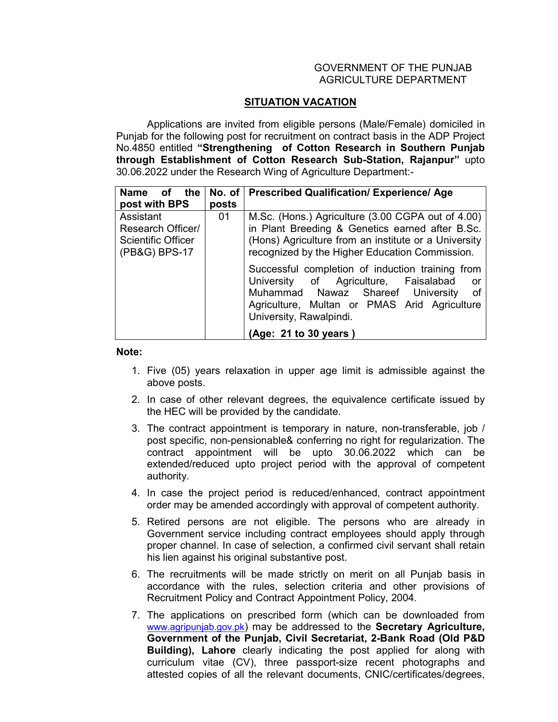## GOVERNMENT OF THE PUNJAB AGRICULTURE DEPARTMENT

## **SITUATION VACATION**

 Applications are invited from eligible persons (Male/Female) domiciled in Punjab for the following post for recruitment on contract basis in the ADP Project No.4850 entitled **"Strengthening of Cotton Research in Southern Punjab through Establishment of Cotton Research Sub-Station, Rajanpur"** upto 30.06.2022 under the Research Wing of Agriculture Department:-

| <b>Name</b><br>the<br>οf<br>post with BPS                                    | No. of $\parallel$<br>posts | <b>Prescribed Qualification/ Experience/ Age</b>                                                                                                                                                                        |
|------------------------------------------------------------------------------|-----------------------------|-------------------------------------------------------------------------------------------------------------------------------------------------------------------------------------------------------------------------|
| Assistant<br>Research Officer/<br><b>Scientific Officer</b><br>(PB&G) BPS-17 | 01                          | M.Sc. (Hons.) Agriculture (3.00 CGPA out of 4.00)<br>in Plant Breeding & Genetics earned after B.Sc.<br>(Hons) Agriculture from an institute or a University<br>recognized by the Higher Education Commission.          |
|                                                                              |                             | Successful completion of induction training from<br>University of Agriculture, Faisalabad<br>- or<br>Muhammad Nawaz Shareef University<br>of<br>Agriculture, Multan or PMAS Arid Agriculture<br>University, Rawalpindi. |
|                                                                              |                             | (Age: 21 to 30 years)                                                                                                                                                                                                   |

## **Note:**

- 1. Five (05) years relaxation in upper age limit is admissible against the above posts.
- 2. In case of other relevant degrees, the equivalence certificate issued by the HEC will be provided by the candidate.
- 3. The contract appointment is temporary in nature, non-transferable, job / post specific, non-pensionable& conferring no right for regularization. The contract appointment will be upto 30.06.2022 which can be extended/reduced upto project period with the approval of competent authority.
- 4. In case the project period is reduced/enhanced, contract appointment order may be amended accordingly with approval of competent authority.
- 5. Retired persons are not eligible. The persons who are already in Government service including contract employees should apply through proper channel. In case of selection, a confirmed civil servant shall retain his lien against his original substantive post.
- 6. The recruitments will be made strictly on merit on all Punjab basis in accordance with the rules, selection criteria and other provisions of Recruitment Policy and Contract Appointment Policy, 2004.
- 7. The applications on prescribed form (which can be downloaded from www.agripunjab.gov.pk) may be addressed to the **Secretary Agriculture, Government of the Punjab, Civil Secretariat, 2-Bank Road (Old P&D Building), Lahore** clearly indicating the post applied for along with curriculum vitae (CV), three passport-size recent photographs and attested copies of all the relevant documents, CNIC/certificates/degrees,